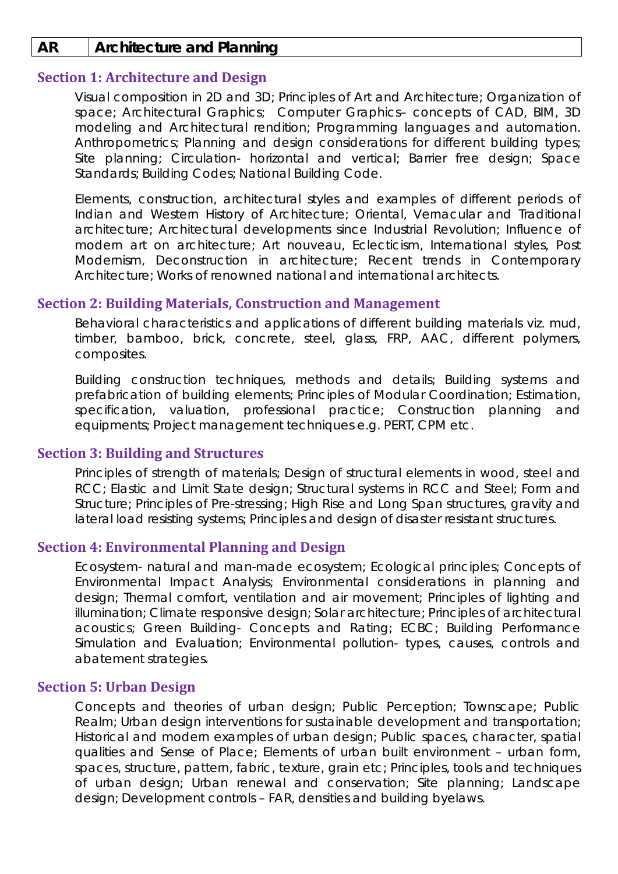## **AR Architecture and Planning**

# **Section 1: Architecture and Design**

Visual composition in 2D and 3D; Principles of Art and Architecture; Organization of space; Architectural Graphics; Computer Graphics– concepts of CAD, BIM, 3D modeling and Architectural rendition; Programming languages and automation. Anthropometrics; Planning and design considerations for different building types; Site planning; Circulation- horizontal and vertical; Barrier free design; Space Standards; Building Codes; National Building Code.

Elements, construction, architectural styles and examples of different periods of Indian and Western History of Architecture; Oriental, Vernacular and Traditional architecture; Architectural developments since Industrial Revolution; Influence of modern art on architecture; Art nouveau, Eclecticism, International styles, Post Modernism, Deconstruction in architecture; Recent trends in Contemporary Architecture; Works of renowned national and international architects.

## **Section 2: Building Materials, Construction and Management**

Behavioral characteristics and applications of different building materials viz. mud, timber, bamboo, brick, concrete, steel, glass, FRP, AAC, different polymers, composites.

Building construction techniques, methods and details; Building systems and prefabrication of building elements; Principles of Modular Coordination; Estimation, specification, valuation, professional practice; Construction planning and equipments; Project management techniques e.g. PERT, CPM etc.

### **Section 3: Building and Structures**

Principles of strength of materials; Design of structural elements in wood, steel and RCC; Elastic and Limit State design; Structural systems in RCC and Steel; Form and Structure; Principles of Pre-stressing; High Rise and Long Span structures, gravity and lateral load resisting systems; Principles and design of disaster resistant structures.

## **Section 4: Environmental Planning and Design**

Ecosystem- natural and man-made ecosystem; Ecological principles; Concepts of Environmental Impact Analysis; Environmental considerations in planning and design; Thermal comfort, ventilation and air movement; Principles of lighting and illumination; Climate responsive design; Solar architecture; Principles of architectural acoustics; Green Building- Concepts and Rating; ECBC; Building Performance Simulation and Evaluation; Environmental pollution- types, causes, controls and abatement strategies.

### **Section 5: Urban Design**

Concepts and theories of urban design; Public Perception; Townscape; Public Realm; Urban design interventions for sustainable development and transportation; Historical and modern examples of urban design; Public spaces, character, spatial qualities and Sense of Place; Elements of urban built environment – urban form, spaces, structure, pattern, fabric, texture, grain etc; Principles, tools and techniques of urban design; Urban renewal and conservation; Site planning; Landscape design; Development controls – FAR, densities and building byelaws.